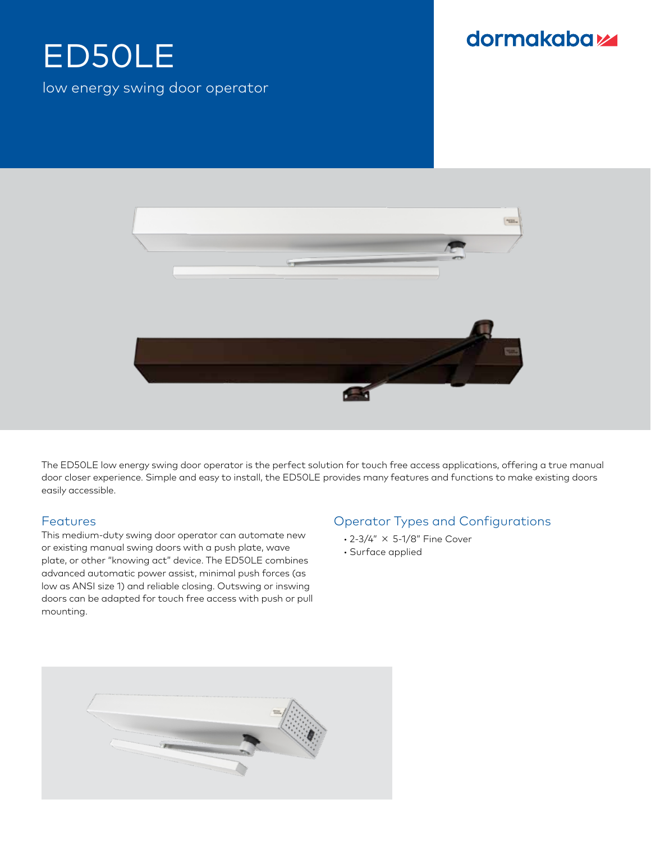# ED50LE low energy swing door operator

## dormakabaz



The ED50LE low energy swing door operator is the perfect solution for touch free access applications, offering a true manual door closer experience. Simple and easy to install, the ED50LE provides many features and functions to make existing doors easily accessible.

#### Features

This medium-duty swing door operator can automate new or existing manual swing doors with a push plate, wave plate, or other "knowing act" device. The ED50LE combines advanced automatic power assist, minimal push forces (as low as ANSI size 1) and reliable closing. Outswing or inswing doors can be adapted for touch free access with push or pull mounting.

### Operator Types and Configurations

- 2-3/4" ✗ 5-1/8" Fine Cover
- Surface applied

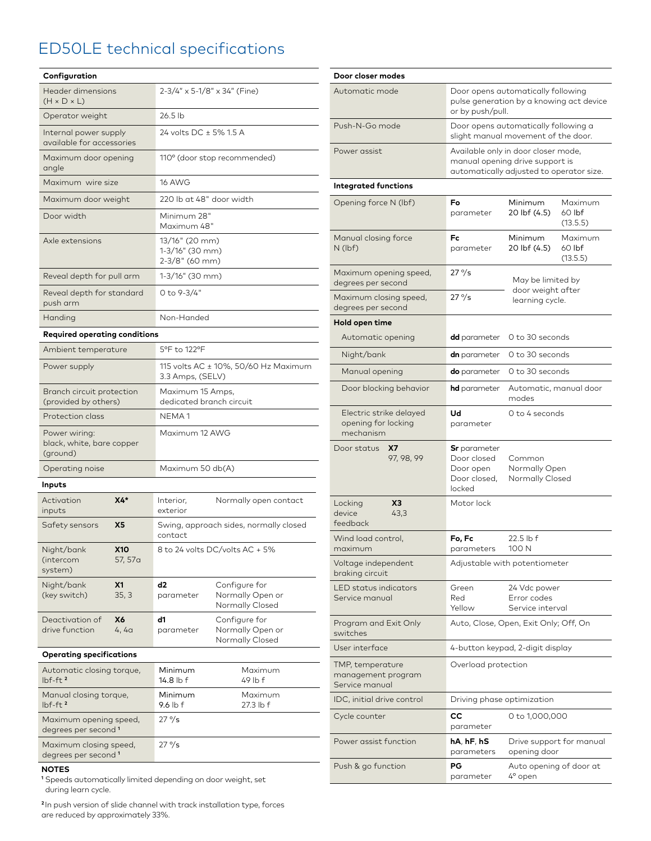## ED50LE technical specifications

| Configuration                                             |                    |                                                          |                                                      |
|-----------------------------------------------------------|--------------------|----------------------------------------------------------|------------------------------------------------------|
| Header dimensions<br>$(H \times D \times L)$              |                    | 2-3/4" x 5-1/8" x 34" (Fine)                             |                                                      |
| Operator weight                                           |                    | 26.5 lb                                                  |                                                      |
| Internal power supply<br>available for accessories        |                    | 24 volts DC ± 5% 1.5 A                                   |                                                      |
| Maximum door opening<br>angle                             |                    | 110° (door stop recommended)                             |                                                      |
| Maximum wire size                                         |                    | <b>16 AWG</b>                                            |                                                      |
| Maximum door weight                                       |                    | 220 lb at 48" door width                                 |                                                      |
| Door width                                                |                    | Minimum 28"<br>Maximum 48"                               |                                                      |
| Axle extensions                                           |                    | 13/16" (20 mm)<br>1-3/16" (30 mm)<br>2-3/8" (60 mm)      |                                                      |
| Reveal depth for pull arm                                 |                    | 1-3/16" (30 mm)                                          |                                                      |
| Reveal depth for standard<br>push arm                     |                    | 0 to 9-3/4"                                              |                                                      |
| Handing                                                   |                    | Non-Handed                                               |                                                      |
| <b>Required operating conditions</b>                      |                    |                                                          |                                                      |
| Ambient temperature                                       |                    | 5°F to 122°F                                             |                                                      |
| Power supply                                              |                    | 115 volts AC ± 10%, 50/60 Hz Maximum<br>3.3 Amps, (SELV) |                                                      |
| Branch circuit protection<br>(provided by others)         |                    | Maximum 15 Amps,<br>dedicated branch circuit             |                                                      |
| Protection class                                          |                    | NEMA <sub>1</sub>                                        |                                                      |
| Power wiring:<br>black, white, bare copper<br>(ground)    |                    | Maximum 12 AWG                                           |                                                      |
| Operating noise                                           |                    | Maximum 50 db(A)                                         |                                                      |
| Inputs                                                    |                    |                                                          |                                                      |
| Activation<br>inputs                                      | X4*                | Interior,<br>exterior                                    | Normally open contact                                |
| Safety sensors                                            | X5                 | Swing, approach sides, normally closed<br>contact        |                                                      |
| Night/bank<br>(intercom<br>system)                        | X10<br>57, 57a     | 8 to 24 volts DC/volts AC + 5%                           |                                                      |
| Night/bank<br>(key switch)                                | <b>X1</b><br>35, 3 | d2<br>parameter                                          | Configure for<br>Normally Open or<br>Normally Closed |
| Deactivation of<br>drive function                         | Х6<br>4, 4a        | d1<br>parameter                                          | Configure for<br>Normally Open or<br>Normally Closed |
| <b>Operating specifications</b>                           |                    |                                                          |                                                      |
| Automatic closing torque,<br>lbf-ft <sup>2</sup>          |                    | Minimum<br>14.8 lb f                                     | Maximum<br>$49$ lb f                                 |
| Manual closing torque,<br>$lbf$ -ft <sup>2</sup>          |                    | Minimum<br>9.6 lb f                                      | Maximum<br>27.3 lb f                                 |
| Maximum opening speed,<br>degrees per second <sup>1</sup> |                    | $27\%$                                                   |                                                      |
| Maximum closing speed,<br>degrees per second <sup>1</sup> |                    | $27\%$                                                   |                                                      |

#### **Door closer modes** Automatic mode Door opens automatically following pulse generation by a knowing act device or by push/pull. Push-N-Go mode Door opens automatically following a slight manual movement of the door. Power assist **Available only in door closer mode**, manual opening drive support is automatically adjusted to operator size. **Integrated functions** Opening force N (lbf) **Fo** parameter Minimum 20 lbf (4.5) Maximum 60 lbf  $(13.5.5)$ Manual closing force N (lbf) **Fc** parameter Minimum 20 lbf (4.5) Maximum 60 lbf (13.5.5) Maximum opening speed, degrees per second <sup>27</sup>°/s May be limited by door weight after Maximum closing speed, learning cycle. degrees per second 27 °/s **Hold open time** Automatic opening **dd** parameter 0 to 30 seconds Night/bank **dn** parameter 0 to 30 seconds Manual opening **do** parameter 0 to 30 seconds Door blocking behavior **hd** parameter Automatic, manual door modes Electric strike delayed opening for locking mechanism **Ud** parameter 0 to 4 seconds Door status **X7** 97, 98, 99 **Sr** parameter Door closed Door open Door closed, locked Common Normally Open Normally Closed Locking device feedback **X3** 43,3 Motor lock Wind load control, maximum **Fo, Fc** parameters 22.5 lb f 100 N Voltage independent braking circuit Adjustable with potentiometer LED status indicators Service manual Green Red Yellow 24 Vdc power Error codes Service interval Program and Exit Only switches Auto, Close, Open, Exit Only; Off, On User interface 4-button keypad, 2-digit display TMP, temperature management program Service manual Overload protection IDC, initial drive control Driving phase optimization Cycle counter **CC** parameter 0 to 1,000,000 Power assist function **hA**, **hF**, **hS** parameters Drive support for manual opening door Push & go function **PG** parameter Auto opening of door at 4° open

#### **NOTES**

**<sup>1</sup>** Speeds automatically limited depending on door weight, set during learn cycle.

**<sup>2</sup>**In push version of slide channel with track installation type, forces are reduced by approximately 33%.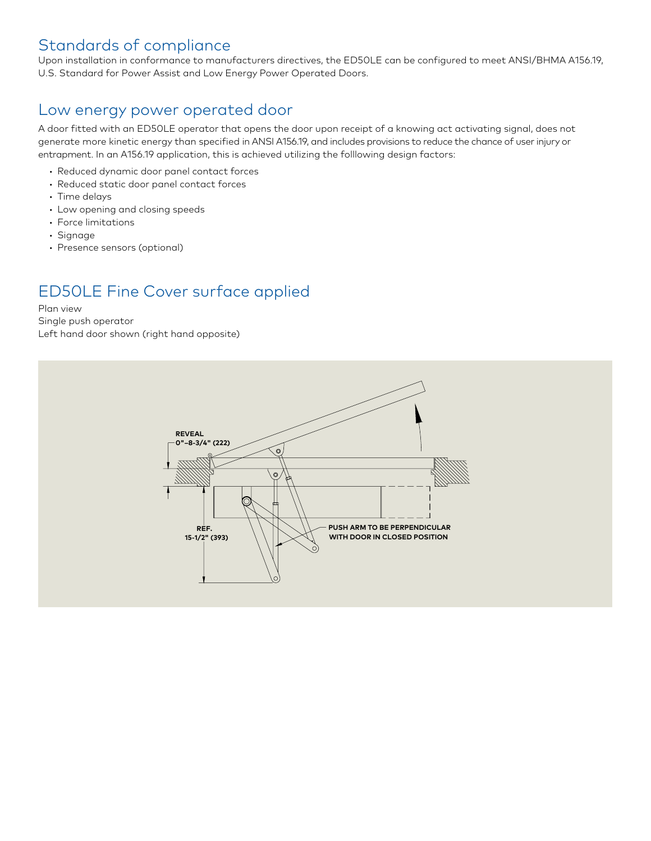## **Standards of compliance**

Upon installation in conformance to manufacturers directives, the ED50LE can be configured to meet ANSI/BHMA A156.19,  **9/16" (15) 5-1/8" (130) FIXED FILLER AS NEEDED** U.S. Standard for Power Assist and Low Energy Power Operated Doors. **BY OTHERS**

### Low energy power operated door

A door fitted with an ED50LE operator that opens the door upon receipt of a knowing act activating signal, does not generate more kinetic energy than specified in ANSI A156.19, and includes provisions to reduce the chance of user injury or **(150) ARM CLEARANCE (BOTTOM OF**  entrapment. In an A156.19 application, this is achieved utilizing the folllowing design factors: **(BOTTOM OF OPERATOR) OPERATOR)**

- **Reduced dynamic door panel contact forces** cea aynan
- Reduced static door panel contact forces
- Time delays
- Low opening and closing speeds
- Force limitations
- Signage
- Presence sensors (optional)

## **PLAN VIEW** ED50LE Fine Cover surface applied

### Plan view

Single push operator Left hand door shown (right hand opposite)

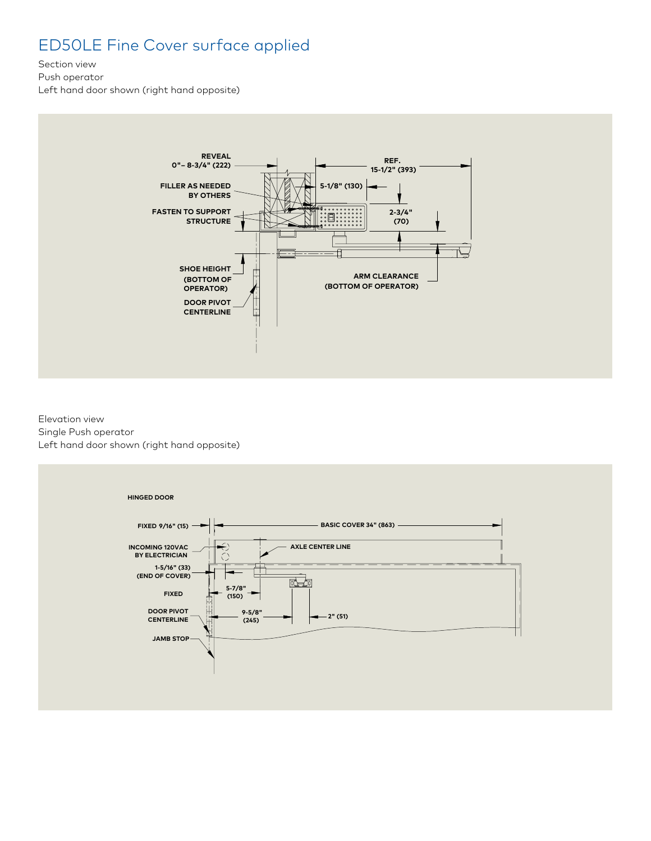## ED50LE Fine Cover surface applied

Section view

Push operator

Left hand door shown (right hand opposite)



Elevation view Single Push operator Left hand door shown (right hand opposite)

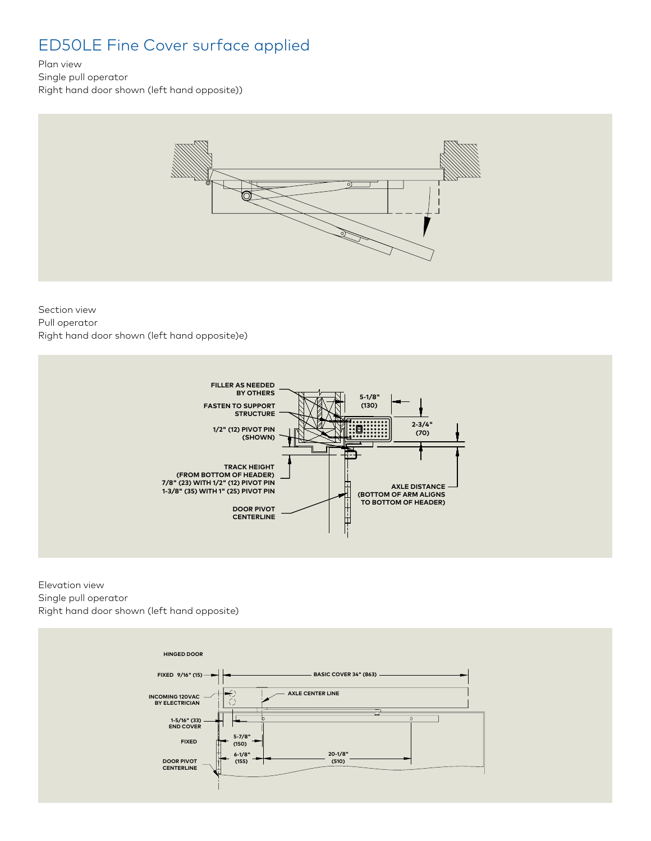## ED50LE Fine Cover surface applied

Plan view

Single pull operator Right hand door shown (left hand opposite))



#### Section view Pull operator Right hand door shown (left hand opposite)e)



Elevation view Single pull operator Right hand door shown (left hand opposite)